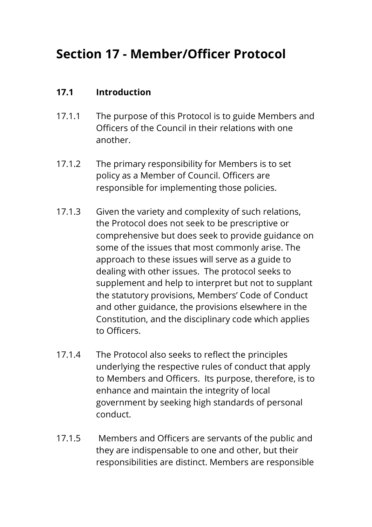# **Section 17 - Member/Officer Protocol**

### **17.1 Introduction**

- 17.1.1 The purpose of this Protocol is to guide Members and Officers of the Council in their relations with one another.
- 17.1.2 The primary responsibility for Members is to set policy as a Member of Council. Officers are responsible for implementing those policies.
- 17.1.3 Given the variety and complexity of such relations, the Protocol does not seek to be prescriptive or comprehensive but does seek to provide guidance on some of the issues that most commonly arise. The approach to these issues will serve as a guide to dealing with other issues. The protocol seeks to supplement and help to interpret but not to supplant the statutory provisions, Members' Code of Conduct and other guidance, the provisions elsewhere in the Constitution, and the disciplinary code which applies to Officers.
- 17.1.4 The Protocol also seeks to reflect the principles underlying the respective rules of conduct that apply to Members and Officers. Its purpose, therefore, is to enhance and maintain the integrity of local government by seeking high standards of personal conduct.
- 17.1.5 Members and Officers are servants of the public and they are indispensable to one and other, but their responsibilities are distinct. Members are responsible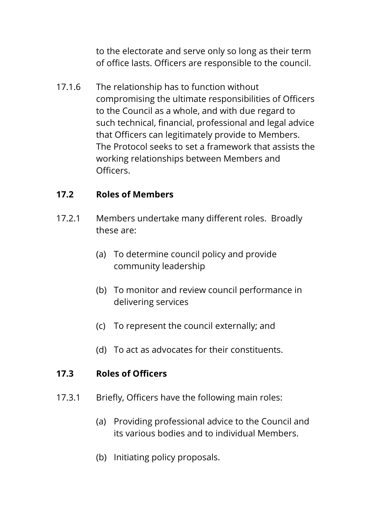to the electorate and serve only so long as their term of office lasts. Officers are responsible to the council.

17.1.6 The relationship has to function without compromising the ultimate responsibilities of Officers to the Council as a whole, and with due regard to such technical, financial, professional and legal advice that Officers can legitimately provide to Members. The Protocol seeks to set a framework that assists the working relationships between Members and Officers.

# **17.2 Roles of Members**

- 17.2.1 Members undertake many different roles. Broadly these are:
	- (a) To determine council policy and provide community leadership
	- (b) To monitor and review council performance in delivering services
	- (c) To represent the council externally; and
	- (d) To act as advocates for their constituents.

#### **17.3 Roles of Officers**

- 17.3.1 Briefly, Officers have the following main roles:
	- (a) Providing professional advice to the Council and its various bodies and to individual Members.
	- (b) Initiating policy proposals.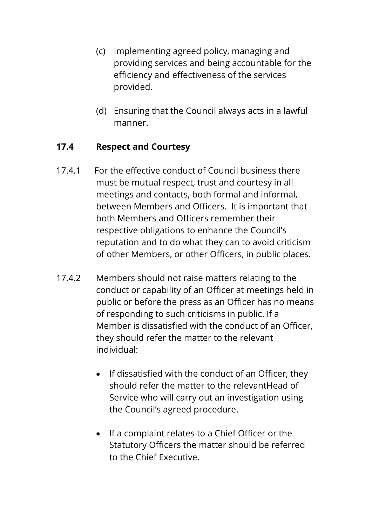- (c) Implementing agreed policy, managing and providing services and being accountable for the efficiency and effectiveness of the services provided.
- (d) Ensuring that the Council always acts in a lawful manner.

# **17.4 Respect and Courtesy**

- 17.4.1 For the effective conduct of Council business there must be mutual respect, trust and courtesy in all meetings and contacts, both formal and informal, between Members and Officers. It is important that both Members and Officers remember their respective obligations to enhance the Council's reputation and to do what they can to avoid criticism of other Members, or other Officers, in public places.
- 17.4.2 Members should not raise matters relating to the conduct or capability of an Officer at meetings held in public or before the press as an Officer has no means of responding to such criticisms in public. If a Member is dissatisfied with the conduct of an Officer, they should refer the matter to the relevant individual:
	- If dissatisfied with the conduct of an Officer, they should refer the matter to the relevantHead of Service who will carry out an investigation using the Council's agreed procedure.
	- If a complaint relates to a Chief Officer or the Statutory Officers the matter should be referred to the Chief Executive.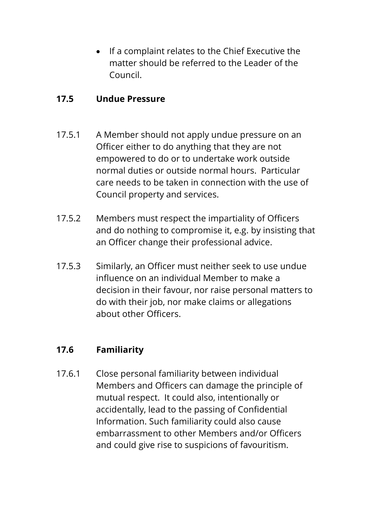If a complaint relates to the Chief Executive the matter should be referred to the Leader of the Council.

#### **17.5 Undue Pressure**

- 17.5.1 A Member should not apply undue pressure on an Officer either to do anything that they are not empowered to do or to undertake work outside normal duties or outside normal hours. Particular care needs to be taken in connection with the use of Council property and services.
- 17.5.2 Members must respect the impartiality of Officers and do nothing to compromise it, e.g. by insisting that an Officer change their professional advice.
- 17.5.3 Similarly, an Officer must neither seek to use undue influence on an individual Member to make a decision in their favour, nor raise personal matters to do with their job, nor make claims or allegations about other Officers.

# **17.6 Familiarity**

17.6.1 Close personal familiarity between individual Members and Officers can damage the principle of mutual respect. It could also, intentionally or accidentally, lead to the passing of Confidential Information. Such familiarity could also cause embarrassment to other Members and/or Officers and could give rise to suspicions of favouritism.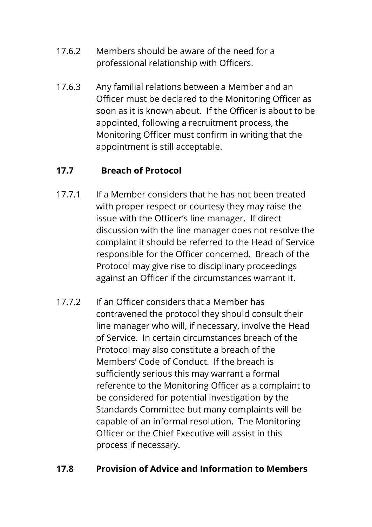- 17.6.2 Members should be aware of the need for a professional relationship with Officers.
- 17.6.3 Any familial relations between a Member and an Officer must be declared to the Monitoring Officer as soon as it is known about. If the Officer is about to be appointed, following a recruitment process, the Monitoring Officer must confirm in writing that the appointment is still acceptable.

# **17.7 Breach of Protocol**

- 17.7.1 If a Member considers that he has not been treated with proper respect or courtesy they may raise the issue with the Officer's line manager. If direct discussion with the line manager does not resolve the complaint it should be referred to the Head of Service responsible for the Officer concerned. Breach of the Protocol may give rise to disciplinary proceedings against an Officer if the circumstances warrant it.
- 17.7.2 If an Officer considers that a Member has contravened the protocol they should consult their line manager who will, if necessary, involve the Head of Service. In certain circumstances breach of the Protocol may also constitute a breach of the Members' Code of Conduct. If the breach is sufficiently serious this may warrant a formal reference to the Monitoring Officer as a complaint to be considered for potential investigation by the Standards Committee but many complaints will be capable of an informal resolution. The Monitoring Officer or the Chief Executive will assist in this process if necessary.

# **17.8 Provision of Advice and Information to Members**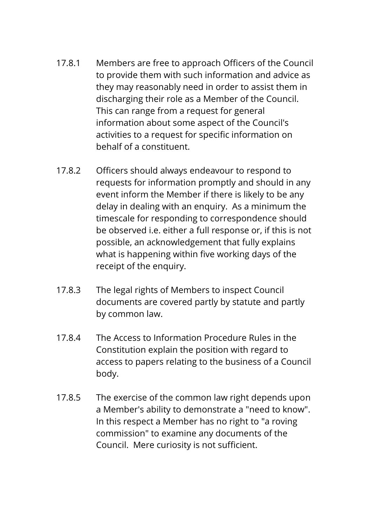- 17.8.1 Members are free to approach Officers of the Council to provide them with such information and advice as they may reasonably need in order to assist them in discharging their role as a Member of the Council. This can range from a request for general information about some aspect of the Council's activities to a request for specific information on behalf of a constituent.
- 17.8.2 Officers should always endeavour to respond to requests for information promptly and should in any event inform the Member if there is likely to be any delay in dealing with an enquiry. As a minimum the timescale for responding to correspondence should be observed i.e. either a full response or, if this is not possible, an acknowledgement that fully explains what is happening within five working days of the receipt of the enquiry.
- 17.8.3 The legal rights of Members to inspect Council documents are covered partly by statute and partly by common law.
- 17.8.4 The Access to Information Procedure Rules in the Constitution explain the position with regard to access to papers relating to the business of a Council body.
- 17.8.5 The exercise of the common law right depends upon a Member's ability to demonstrate a "need to know". In this respect a Member has no right to "a roving commission" to examine any documents of the Council. Mere curiosity is not sufficient.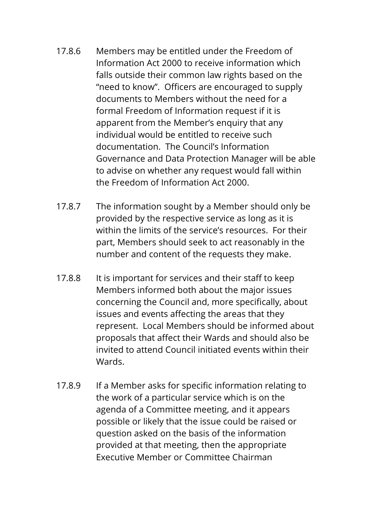- 17.8.6 Members may be entitled under the Freedom of Information Act 2000 to receive information which falls outside their common law rights based on the "need to know". Officers are encouraged to supply documents to Members without the need for a formal Freedom of Information request if it is apparent from the Member's enquiry that any individual would be entitled to receive such documentation. The Council's Information Governance and Data Protection Manager will be able to advise on whether any request would fall within the Freedom of Information Act 2000.
- 17.8.7 The information sought by a Member should only be provided by the respective service as long as it is within the limits of the service's resources. For their part, Members should seek to act reasonably in the number and content of the requests they make.
- 17.8.8 It is important for services and their staff to keep Members informed both about the major issues concerning the Council and, more specifically, about issues and events affecting the areas that they represent. Local Members should be informed about proposals that affect their Wards and should also be invited to attend Council initiated events within their Wards.
- 17.8.9 If a Member asks for specific information relating to the work of a particular service which is on the agenda of a Committee meeting, and it appears possible or likely that the issue could be raised or question asked on the basis of the information provided at that meeting, then the appropriate Executive Member or Committee Chairman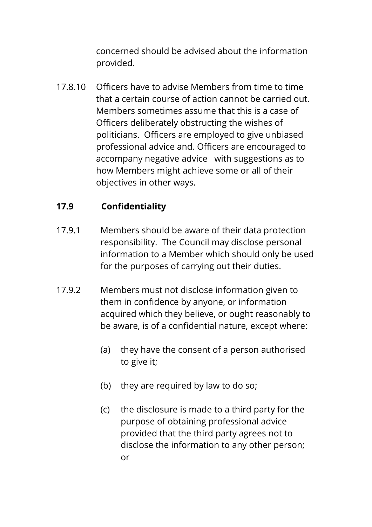concerned should be advised about the information provided.

17.8.10 Officers have to advise Members from time to time that a certain course of action cannot be carried out. Members sometimes assume that this is a case of Officers deliberately obstructing the wishes of politicians. Officers are employed to give unbiased professional advice and. Officers are encouraged to accompany negative advice with suggestions as to how Members might achieve some or all of their objectives in other ways.

# **17.9 Confidentiality**

- 17.9.1 Members should be aware of their data protection responsibility. The Council may disclose personal information to a Member which should only be used for the purposes of carrying out their duties.
- 17.9.2 Members must not disclose information given to them in confidence by anyone, or information acquired which they believe, or ought reasonably to be aware, is of a confidential nature, except where:
	- (a) they have the consent of a person authorised to give it;
	- (b) they are required by law to do so;
	- (c) the disclosure is made to a third party for the purpose of obtaining professional advice provided that the third party agrees not to disclose the information to any other person; or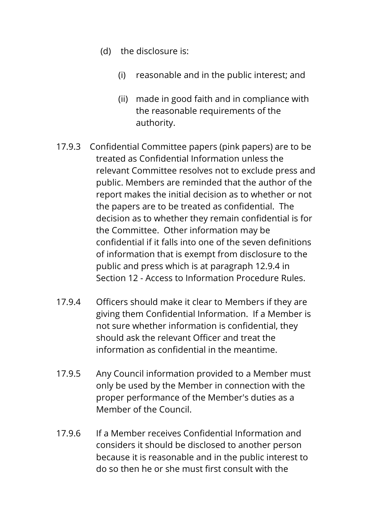- (d) the disclosure is:
	- (i) reasonable and in the public interest; and
	- (ii) made in good faith and in compliance with the reasonable requirements of the authority.
- 17.9.3 Confidential Committee papers (pink papers) are to be treated as Confidential Information unless the relevant Committee resolves not to exclude press and public. Members are reminded that the author of the report makes the initial decision as to whether or not the papers are to be treated as confidential. The decision as to whether they remain confidential is for the Committee. Other information may be confidential if it falls into one of the seven definitions of information that is exempt from disclosure to the public and press which is at paragraph 12.9.4 in Section 12 - Access to Information Procedure Rules.
- 17.9.4 Officers should make it clear to Members if they are giving them Confidential Information. If a Member is not sure whether information is confidential, they should ask the relevant Officer and treat the information as confidential in the meantime.
- 17.9.5 Any Council information provided to a Member must only be used by the Member in connection with the proper performance of the Member's duties as a Member of the Council.
- 17.9.6 If a Member receives Confidential Information and considers it should be disclosed to another person because it is reasonable and in the public interest to do so then he or she must first consult with the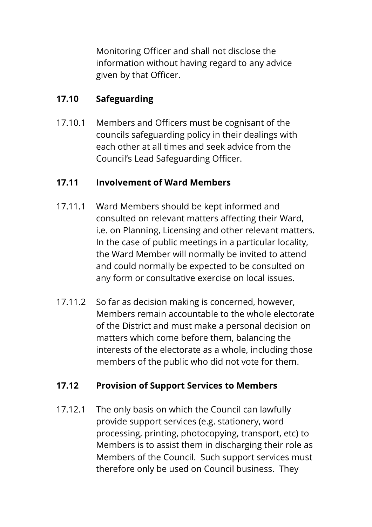Monitoring Officer and shall not disclose the information without having regard to any advice given by that Officer.

# **17.10 Safeguarding**

17.10.1 Members and Officers must be cognisant of the councils safeguarding policy in their dealings with each other at all times and seek advice from the Council's Lead Safeguarding Officer.

# **17.11 Involvement of Ward Members**

- 17.11.1 Ward Members should be kept informed and consulted on relevant matters affecting their Ward, i.e. on Planning, Licensing and other relevant matters. In the case of public meetings in a particular locality, the Ward Member will normally be invited to attend and could normally be expected to be consulted on any form or consultative exercise on local issues.
- 17.11.2 So far as decision making is concerned, however, Members remain accountable to the whole electorate of the District and must make a personal decision on matters which come before them, balancing the interests of the electorate as a whole, including those members of the public who did not vote for them.

# **17.12 Provision of Support Services to Members**

17.12.1 The only basis on which the Council can lawfully provide support services (e.g. stationery, word processing, printing, photocopying, transport, etc) to Members is to assist them in discharging their role as Members of the Council. Such support services must therefore only be used on Council business. They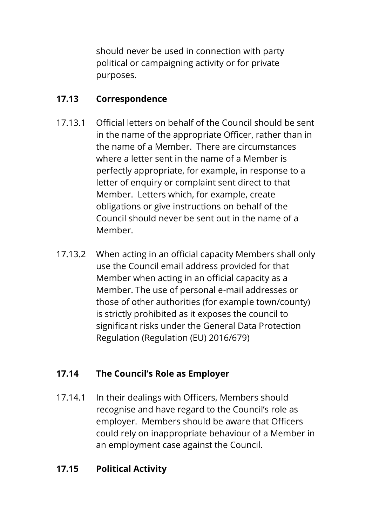should never be used in connection with party political or campaigning activity or for private purposes.

# **17.13 Correspondence**

- 17.13.1 Official letters on behalf of the Council should be sent in the name of the appropriate Officer, rather than in the name of a Member. There are circumstances where a letter sent in the name of a Member is perfectly appropriate, for example, in response to a letter of enquiry or complaint sent direct to that Member. Letters which, for example, create obligations or give instructions on behalf of the Council should never be sent out in the name of a Member.
- 17.13.2 When acting in an official capacity Members shall only use the Council email address provided for that Member when acting in an official capacity as a Member. The use of personal e-mail addresses or those of other authorities (for example town/county) is strictly prohibited as it exposes the council to significant risks under the General Data Protection Regulation (Regulation (EU) 2016/679)

# **17.14 The Council's Role as Employer**

17.14.1 In their dealings with Officers, Members should recognise and have regard to the Council's role as employer. Members should be aware that Officers could rely on inappropriate behaviour of a Member in an employment case against the Council.

# **17.15 Political Activity**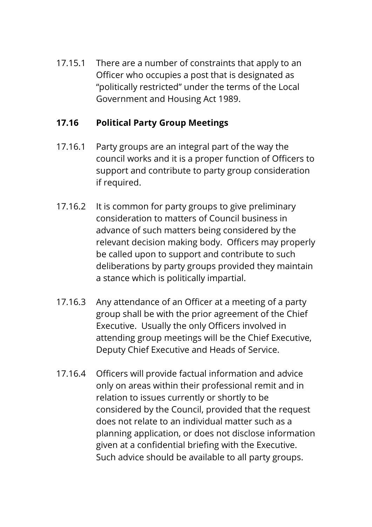17.15.1 There are a number of constraints that apply to an Officer who occupies a post that is designated as "politically restricted" under the terms of the Local Government and Housing Act 1989.

# **17.16 Political Party Group Meetings**

- 17.16.1 Party groups are an integral part of the way the council works and it is a proper function of Officers to support and contribute to party group consideration if required.
- 17.16.2 It is common for party groups to give preliminary consideration to matters of Council business in advance of such matters being considered by the relevant decision making body. Officers may properly be called upon to support and contribute to such deliberations by party groups provided they maintain a stance which is politically impartial.
- 17.16.3 Any attendance of an Officer at a meeting of a party group shall be with the prior agreement of the Chief Executive. Usually the only Officers involved in attending group meetings will be the Chief Executive, Deputy Chief Executive and Heads of Service.
- 17.16.4 Officers will provide factual information and advice only on areas within their professional remit and in relation to issues currently or shortly to be considered by the Council, provided that the request does not relate to an individual matter such as a planning application, or does not disclose information given at a confidential briefing with the Executive. Such advice should be available to all party groups.